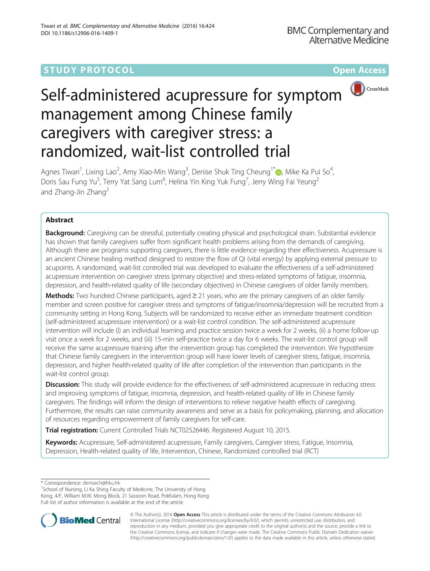## **STUDY PROTOCOL CONSUMING THE RESERVE ACCESS**



# Self-administered acupressure for symptom management among Chinese family caregivers with caregiver stress: a randomized, wait-list controlled trial

Agnes Tiwari<sup>1</sup>, Lixing Lao<sup>2</sup>, Amy Xiao-Min Wang<sup>3</sup>, Denise Shuk Ting Cheung<sup>1\*</sup>®, Mike Ka Pui So<sup>4</sup> , Doris Sau Fung Yu<sup>5</sup>, Terry Yat Sang Lum<sup>6</sup>, Helina Yin King Yuk Fung<sup>7</sup>, Jerry Wing Fai Yeung<sup>2</sup> and Zhang-Jin Zhang<sup>2</sup>

## Abstract

Background: Caregiving can be stressful, potentially creating physical and psychological strain. Substantial evidence has shown that family caregivers suffer from significant health problems arising from the demands of caregiving. Although there are programs supporting caregivers, there is little evidence regarding their effectiveness. Acupressure is an ancient Chinese healing method designed to restore the flow of Qi (vital energy) by applying external pressure to acupoints. A randomized, wait-list controlled trial was developed to evaluate the effectiveness of a self-administered acupressure intervention on caregiver stress (primary objective) and stress-related symptoms of fatigue, insomnia, depression, and health-related quality of life (secondary objectives) in Chinese caregivers of older family members.

Methods: Two hundred Chinese participants, aged ≥ 21 years, who are the primary caregivers of an older family member and screen positive for caregiver stress and symptoms of fatigue/insomnia/depression will be recruited from a community setting in Hong Kong. Subjects will be randomized to receive either an immediate treatment condition (self-administered acupressure intervention) or a wait-list control condition. The self-administered acupressure intervention will include (i) an individual learning and practice session twice a week for 2 weeks, (ii) a home follow-up visit once a week for 2 weeks, and (iii) 15-min self-practice twice a day for 6 weeks. The wait-list control group will receive the same acupressure training after the intervention group has completed the intervention. We hypothesize that Chinese family caregivers in the intervention group will have lower levels of caregiver stress, fatigue, insomnia, depression, and higher health-related quality of life after completion of the intervention than participants in the wait-list control group.

**Discussion:** This study will provide evidence for the effectiveness of self-administered acupressure in reducing stress and improving symptoms of fatigue, insomnia, depression, and health-related quality of life in Chinese family caregivers. The findings will inform the design of interventions to relieve negative health effects of caregiving. Furthermore, the results can raise community awareness and serve as a basis for policymaking, planning, and allocation of resources regarding empowerment of family caregivers for self-care.

**Trial registration:** Current Controlled Trials [NCT02526446.](https://clinicaltrials.gov/ct2/show/NCT02526446?term=NCT02526446&rank=1) Registered August 10, 2015.

Keywords: Acupressure, Self-administered acupressure, Family caregivers, Caregiver stress, Fatigue, Insomnia, Depression, Health-related quality of life, Intervention, Chinese, Randomized controlled trial (RCT)

<sup>1</sup>School of Nursing, Li Ka Shing Faculty of Medicine, The University of Hong Kong, 4/F, William M.W. Mong Block, 21 Sassoon Road, Pokfulam, Hong Kong Full list of author information is available at the end of the article



© The Author(s). 2016 Open Access This article is distributed under the terms of the Creative Commons Attribution 4.0 International License [\(http://creativecommons.org/licenses/by/4.0/](http://creativecommons.org/licenses/by/4.0/)), which permits unrestricted use, distribution, and reproduction in any medium, provided you give appropriate credit to the original author(s) and the source, provide a link to the Creative Commons license, and indicate if changes were made. The Creative Commons Public Domain Dedication waiver [\(http://creativecommons.org/publicdomain/zero/1.0/](http://creativecommons.org/publicdomain/zero/1.0/)) applies to the data made available in this article, unless otherwise stated.

<sup>\*</sup> Correspondence: [denisech@hku.hk](mailto:denisech@hku.hk) <sup>1</sup>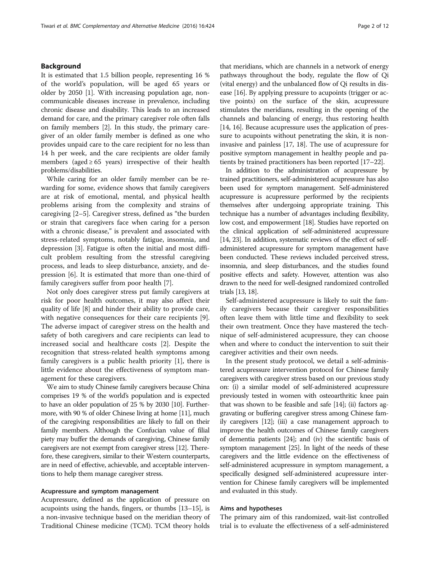#### Background

It is estimated that 1.5 billion people, representing 16 % of the world's population, will be aged 65 years or older by 2050 [\[1](#page-10-0)]. With increasing population age, noncommunicable diseases increase in prevalence, including chronic disease and disability. This leads to an increased demand for care, and the primary caregiver role often falls on family members [\[2](#page-10-0)]. In this study, the primary caregiver of an older family member is defined as one who provides unpaid care to the care recipient for no less than 14 h per week, and the care recipients are older family members (aged  $\geq 65$  years) irrespective of their health problems/disabilities.

While caring for an older family member can be rewarding for some, evidence shows that family caregivers are at risk of emotional, mental, and physical health problems arising from the complexity and strains of caregiving [\[2](#page-10-0)–[5\]](#page-10-0). Caregiver stress, defined as "the burden or strain that caregivers face when caring for a person with a chronic disease," is prevalent and associated with stress-related symptoms, notably fatigue, insomnia, and depression [[3\]](#page-10-0). Fatigue is often the initial and most difficult problem resulting from the stressful caregiving process, and leads to sleep disturbance, anxiety, and depression [\[6](#page-10-0)]. It is estimated that more than one-third of family caregivers suffer from poor health [[7\]](#page-10-0).

Not only does caregiver stress put family caregivers at risk for poor health outcomes, it may also affect their quality of life [\[8](#page-10-0)] and hinder their ability to provide care, with negative consequences for their care recipients [\[9](#page-10-0)]. The adverse impact of caregiver stress on the health and safety of both caregivers and care recipients can lead to increased social and healthcare costs [[2\]](#page-10-0). Despite the recognition that stress-related health symptoms among family caregivers is a public health priority [[1\]](#page-10-0), there is little evidence about the effectiveness of symptom management for these caregivers.

We aim to study Chinese family caregivers because China comprises 19 % of the world's population and is expected to have an older population of 25 % by 2030 [\[10\]](#page-10-0). Furthermore, with 90 % of older Chinese living at home [\[11](#page-10-0)], much of the caregiving responsibilities are likely to fall on their family members. Although the Confucian value of filial piety may buffer the demands of caregiving, Chinese family caregivers are not exempt from caregiver stress [[12](#page-10-0)]. Therefore, these caregivers, similar to their Western counterparts, are in need of effective, achievable, and acceptable interventions to help them manage caregiver stress.

#### Acupressure and symptom management

Acupressure, defined as the application of pressure on acupoints using the hands, fingers, or thumbs [[13](#page-10-0)–[15\]](#page-10-0), is a non-invasive technique based on the meridian theory of Traditional Chinese medicine (TCM). TCM theory holds that meridians, which are channels in a network of energy pathways throughout the body, regulate the flow of Qi (vital energy) and the unbalanced flow of Qi results in disease [\[16\]](#page-10-0). By applying pressure to acupoints (trigger or active points) on the surface of the skin, acupressure stimulates the meridians, resulting in the opening of the channels and balancing of energy, thus restoring health [[14](#page-10-0), [16](#page-10-0)]. Because acupressure uses the application of pressure to acupoints without penetrating the skin, it is noninvasive and painless [[17](#page-10-0), [18](#page-10-0)]. The use of acupressure for positive symptom management in healthy people and patients by trained practitioners has been reported [[17](#page-10-0)–[22\]](#page-10-0).

In addition to the administration of acupressure by trained practitioners, self-administered acupressure has also been used for symptom management. Self-administered acupressure is acupressure performed by the recipients themselves after undergoing appropriate training. This technique has a number of advantages including flexibility, low cost, and empowerment [[18](#page-10-0)]. Studies have reported on the clinical application of self-administered acupressure [[14](#page-10-0), [23](#page-10-0)]. In addition, systematic reviews of the effect of selfadministered acupressure for symptom management have been conducted. These reviews included perceived stress, insomnia, and sleep disturbances, and the studies found positive effects and safety. However, attention was also drawn to the need for well-designed randomized controlled trials [\[13, 18\]](#page-10-0).

Self-administered acupressure is likely to suit the family caregivers because their caregiver responsibilities often leave them with little time and flexibility to seek their own treatment. Once they have mastered the technique of self-administered acupressure, they can choose when and where to conduct the intervention to suit their caregiver activities and their own needs.

In the present study protocol, we detail a self-administered acupressure intervention protocol for Chinese family caregivers with caregiver stress based on our previous study on: (i) a similar model of self-administered acupressure previously tested in women with osteoarthritic knee pain that was shown to be feasible and safe [\[14](#page-10-0)]; (ii) factors aggravating or buffering caregiver stress among Chinese family caregivers [\[12\]](#page-10-0); (iii) a case management approach to improve the health outcomes of Chinese family caregivers of dementia patients [\[24\]](#page-10-0); and (iv) the scientific basis of symptom management [[25](#page-10-0)]. In light of the needs of these caregivers and the little evidence on the effectiveness of self-administered acupressure in symptom management, a specifically designed self-administered acupressure intervention for Chinese family caregivers will be implemented and evaluated in this study.

#### Aims and hypotheses

The primary aim of this randomized, wait-list controlled trial is to evaluate the effectiveness of a self-administered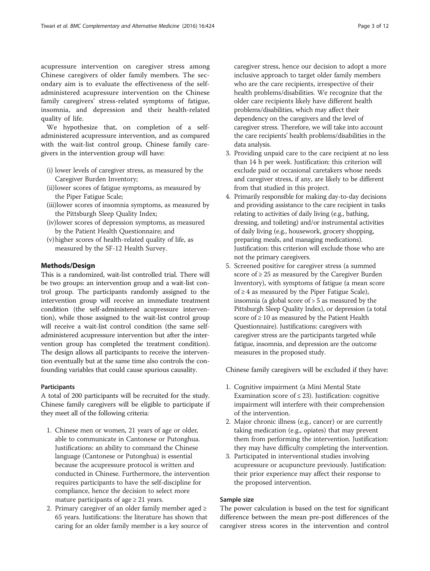acupressure intervention on caregiver stress among Chinese caregivers of older family members. The secondary aim is to evaluate the effectiveness of the selfadministered acupressure intervention on the Chinese family caregivers' stress-related symptoms of fatigue, insomnia, and depression and their health-related quality of life.

We hypothesize that, on completion of a selfadministered acupressure intervention, and as compared with the wait-list control group, Chinese family caregivers in the intervention group will have:

- (i) lower levels of caregiver stress, as measured by the Caregiver Burden Inventory;
- (ii)lower scores of fatigue symptoms, as measured by the Piper Fatigue Scale;
- (iii)lower scores of insomnia symptoms, as measured by the Pittsburgh Sleep Quality Index;
- (iv)lower scores of depression symptoms, as measured by the Patient Health Questionnaire; and
- (v)higher scores of health-related quality of life, as measured by the SF-12 Health Survey.

#### Methods/Design

This is a randomized, wait-list controlled trial. There will be two groups: an intervention group and a wait-list control group. The participants randomly assigned to the intervention group will receive an immediate treatment condition (the self-administered acupressure intervention), while those assigned to the wait-list control group will receive a wait-list control condition (the same selfadministered acupressure intervention but after the intervention group has completed the treatment condition). The design allows all participants to receive the intervention eventually but at the same time also controls the confounding variables that could cause spurious causality.

#### **Participants**

A total of 200 participants will be recruited for the study. Chinese family caregivers will be eligible to participate if they meet all of the following criteria:

- 1. Chinese men or women, 21 years of age or older, able to communicate in Cantonese or Putonghua. Justifications: an ability to command the Chinese language (Cantonese or Putonghua) is essential because the acupressure protocol is written and conducted in Chinese. Furthermore, the intervention requires participants to have the self-discipline for compliance, hence the decision to select more mature participants of age  $\geq$  21 years.
- 2. Primary caregiver of an older family member aged  $\geq$ 65 years. Justifications: the literature has shown that caring for an older family member is a key source of

caregiver stress, hence our decision to adopt a more inclusive approach to target older family members who are the care recipients, irrespective of their health problems/disabilities. We recognize that the older care recipients likely have different health problems/disabilities, which may affect their dependency on the caregivers and the level of caregiver stress. Therefore, we will take into account the care recipients' health problems/disabilities in the data analysis.

- 3. Providing unpaid care to the care recipient at no less than 14 h per week. Justification: this criterion will exclude paid or occasional caretakers whose needs and caregiver stress, if any, are likely to be different from that studied in this project.
- 4. Primarily responsible for making day-to-day decisions and providing assistance to the care recipient in tasks relating to activities of daily living (e.g., bathing, dressing, and toileting) and/or instrumental activities of daily living (e.g., housework, grocery shopping, preparing meals, and managing medications). Justification: this criterion will exclude those who are not the primary caregivers.
- 5. Screened positive for caregiver stress (a summed score of  $\geq$  25 as measured by the Caregiver Burden Inventory), with symptoms of fatigue (a mean score of  $\geq$  4 as measured by the Piper Fatigue Scale), insomnia (a global score of > 5 as measured by the Pittsburgh Sleep Quality Index), or depression (a total score of  $\geq 10$  as measured by the Patient Health Questionnaire). Justifications: caregivers with caregiver stress are the participants targeted while fatigue, insomnia, and depression are the outcome measures in the proposed study.

Chinese family caregivers will be excluded if they have:

- 1. Cognitive impairment (a Mini Mental State Examination score of  $\leq$  23). Justification: cognitive impairment will interfere with their comprehension of the intervention.
- 2. Major chronic illness (e.g., cancer) or are currently taking medication (e.g., opiates) that may prevent them from performing the intervention. Justification: they may have difficulty completing the intervention.
- 3. Participated in interventional studies involving acupressure or acupuncture previously. Justification: their prior experience may affect their response to the proposed intervention.

#### Sample size

The power calculation is based on the test for significant difference between the mean pre-post differences of the caregiver stress scores in the intervention and control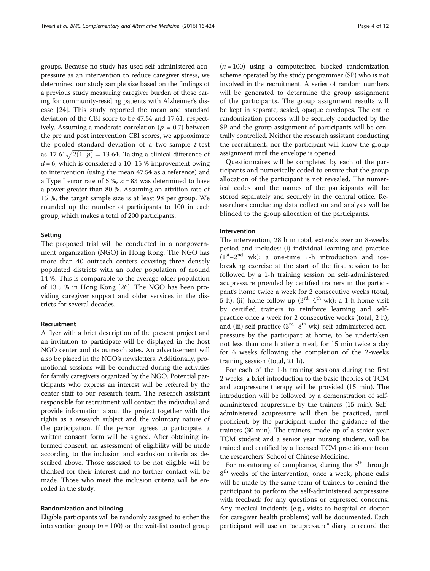groups. Because no study has used self-administered acupressure as an intervention to reduce caregiver stress, we determined our study sample size based on the findings of a previous study measuring caregiver burden of those caring for community-residing patients with Alzheimer's disease [[24](#page-10-0)]. This study reported the mean and standard deviation of the CBI score to be 47.54 and 17.61, respectively. Assuming a moderate correlation ( $p = 0.7$ ) between the pre and post intervention CBI scores, we approximate the pooled standard deviation of a two-sample  $t$ -test the pooled standard deviation of a two-sample *t*-test<br>as  $17.61\sqrt{2(1-p)} = 13.64$ . Taking a clinical difference of  $d = 6$ , which is considered a 10–15 % improvement owing to intervention (using the mean 47.54 as a reference) and a Type I error rate of 5 %,  $n = 83$  was determined to have a power greater than 80 %. Assuming an attrition rate of 15 %, the target sample size is at least 98 per group. We rounded up the number of participants to 100 in each group, which makes a total of 200 participants.

#### Setting

The proposed trial will be conducted in a nongovernment organization (NGO) in Hong Kong. The NGO has more than 40 outreach centers covering three densely populated districts with an older population of around 14 %. This is comparable to the average older population of 13.5 % in Hong Kong [\[26\]](#page-11-0). The NGO has been providing caregiver support and older services in the districts for several decades.

#### Recruitment

A flyer with a brief description of the present project and an invitation to participate will be displayed in the host NGO center and its outreach sites. An advertisement will also be placed in the NGO's newsletters. Additionally, promotional sessions will be conducted during the activities for family caregivers organized by the NGO. Potential participants who express an interest will be referred by the center staff to our research team. The research assistant responsible for recruitment will contact the individual and provide information about the project together with the rights as a research subject and the voluntary nature of the participation. If the person agrees to participate, a written consent form will be signed. After obtaining informed consent, an assessment of eligibility will be made according to the inclusion and exclusion criteria as described above. Those assessed to be not eligible will be thanked for their interest and no further contact will be made. Those who meet the inclusion criteria will be enrolled in the study.

#### Randomization and blinding

Eligible participants will be randomly assigned to either the intervention group ( $n = 100$ ) or the wait-list control group

 $(n = 100)$  using a computerized blocked randomization scheme operated by the study programmer (SP) who is not involved in the recruitment. A series of random numbers will be generated to determine the group assignment of the participants. The group assignment results will be kept in separate, sealed, opaque envelopes. The entire randomization process will be securely conducted by the SP and the group assignment of participants will be centrally controlled. Neither the research assistant conducting the recruitment, nor the participant will know the group assignment until the envelope is opened.

Questionnaires will be completed by each of the participants and numerically coded to ensure that the group allocation of the participant is not revealed. The numerical codes and the names of the participants will be stored separately and securely in the central office. Researchers conducting data collection and analysis will be blinded to the group allocation of the participants.

#### Intervention

The intervention, 28 h in total, extends over an 8-weeks period and includes: (i) individual learning and practice  $(1<sup>st</sup>-2<sup>nd</sup>$  wk): a one-time 1-h introduction and icebreaking exercise at the start of the first session to be followed by a 1-h training session on self-administered acupressure provided by certified trainers in the participant's home twice a week for 2 consecutive weeks (total, 5 h); (ii) home follow-up  $(3<sup>rd</sup>-4<sup>th</sup>$  wk): a 1-h home visit by certified trainers to reinforce learning and selfpractice once a week for 2 consecutive weeks (total, 2 h); and (iii) self-practice  $(3<sup>rd</sup>-8<sup>th</sup>$  wk): self-administered acupressure by the participant at home, to be undertaken not less than one h after a meal, for 15 min twice a day for 6 weeks following the completion of the 2-weeks training session (total, 21 h).

For each of the 1-h training sessions during the first 2 weeks, a brief introduction to the basic theories of TCM and acupressure therapy will be provided (15 min). The introduction will be followed by a demonstration of selfadministered acupressure by the trainers (15 min). Selfadministered acupressure will then be practiced, until proficient, by the participant under the guidance of the trainers (30 min). The trainers, made up of a senior year TCM student and a senior year nursing student, will be trained and certified by a licensed TCM practitioner from the researchers' School of Chinese Medicine.

For monitoring of compliance, during the 5<sup>th</sup> through 8<sup>th</sup> weeks of the intervention, once a week, phone calls will be made by the same team of trainers to remind the participant to perform the self-administered acupressure with feedback for any questions or expressed concerns. Any medical incidents (e.g., visits to hospital or doctor for caregiver health problems) will be documented. Each participant will use an "acupressure" diary to record the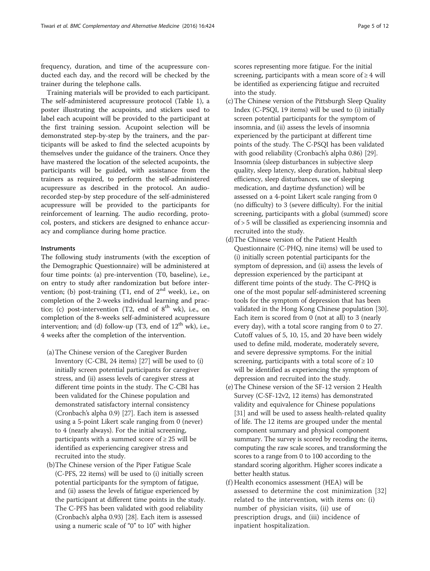frequency, duration, and time of the acupressure conducted each day, and the record will be checked by the trainer during the telephone calls.

Training materials will be provided to each participant. The self-administered acupressure protocol (Table [1\)](#page-5-0), a poster illustrating the acupoints, and stickers used to label each acupoint will be provided to the participant at the first training session. Acupoint selection will be demonstrated step-by-step by the trainers, and the participants will be asked to find the selected acupoints by themselves under the guidance of the trainers. Once they have mastered the location of the selected acupoints, the participants will be guided, with assistance from the trainers as required, to perform the self-administered acupressure as described in the protocol. An audiorecorded step-by step procedure of the self-administered acupressure will be provided to the participants for reinforcement of learning. The audio recording, protocol, posters, and stickers are designed to enhance accuracy and compliance during home practice.

#### **Instruments**

The following study instruments (with the exception of the Demographic Questionnaire) will be administered at four time points: (a) pre-intervention (T0, baseline), i.e., on entry to study after randomization but before intervention; (b) post-training  $(T1, end of 2<sup>nd</sup> week)$ , i.e., on completion of the 2-weeks individual learning and practice; (c) post-intervention (T2, end of  $8<sup>th</sup>$  wk), i.e., on completion of the 8-weeks self-administered acupressure intervention; and (d) follow-up (T3, end of  $12<sup>th</sup>$  wk), i.e., 4 weeks after the completion of the intervention.

- (a)The Chinese version of the Caregiver Burden Inventory (C-CBI, 24 items) [[27](#page-11-0)] will be used to (i) initially screen potential participants for caregiver stress, and (ii) assess levels of caregiver stress at different time points in the study. The C-CBI has been validated for the Chinese population and demonstrated satisfactory internal consistency (Cronbach's alpha 0.9) [\[27\]](#page-11-0). Each item is assessed using a 5-point Likert scale ranging from 0 (never) to 4 (nearly always). For the initial screening, participants with a summed score of  $\geq 25$  will be identified as experiencing caregiver stress and recruited into the study.
- (b)The Chinese version of the Piper Fatigue Scale (C-PFS, 22 items) will be used to (i) initially screen potential participants for the symptom of fatigue, and (ii) assess the levels of fatigue experienced by the participant at different time points in the study. The C-PFS has been validated with good reliability (Cronbach's alpha 0.93) [[28\]](#page-11-0). Each item is assessed using a numeric scale of "0" to 10" with higher

scores representing more fatigue. For the initial screening, participants with a mean score of  $\geq 4$  will be identified as experiencing fatigue and recruited into the study.

- (c)The Chinese version of the Pittsburgh Sleep Quality Index (C-PSQI, 19 items) will be used to (i) initially screen potential participants for the symptom of insomnia, and (ii) assess the levels of insomnia experienced by the participant at different time points of the study. The C-PSQI has been validated with good reliability (Cronbach's alpha 0.86) [\[29](#page-11-0)]. Insomnia (sleep disturbances in subjective sleep quality, sleep latency, sleep duration, habitual sleep efficiency, sleep disturbances, use of sleeping medication, and daytime dysfunction) will be assessed on a 4-point Likert scale ranging from 0 (no difficulty) to 3 (severe difficulty). For the initial screening, participants with a global (summed) score of > 5 will be classified as experiencing insomnia and recruited into the study.
- (d)The Chinese version of the Patient Health Questionnaire (C-PHQ, nine items) will be used to (i) initially screen potential participants for the symptom of depression, and (ii) assess the levels of depression experienced by the participant at different time points of the study. The C-PHQ is one of the most popular self-administered screening tools for the symptom of depression that has been validated in the Hong Kong Chinese population [\[30\]](#page-11-0). Each item is scored from 0 (not at all) to 3 (nearly every day), with a total score ranging from 0 to 27. Cutoff values of 5, 10, 15, and 20 have been widely used to define mild, moderate, moderately severe, and severe depressive symptoms. For the initial screening, participants with a total score of  $\geq 10$ will be identified as experiencing the symptom of depression and recruited into the study.
- (e)The Chinese version of the SF-12 version 2 Health Survey (C-SF-12v2, 12 items) has demonstrated validity and equivalence for Chinese populations [[31](#page-11-0)] and will be used to assess health-related quality of life. The 12 items are grouped under the mental component summary and physical component summary. The survey is scored by recoding the items, computing the raw scale scores, and transforming the scores to a range from 0 to 100 according to the standard scoring algorithm. Higher scores indicate a better health status.
- (f) Health economics assessment (HEA) will be assessed to determine the cost minimization [[32\]](#page-11-0) related to the intervention, with items on: (i) number of physician visits, (ii) use of prescription drugs, and (iii) incidence of inpatient hospitalization.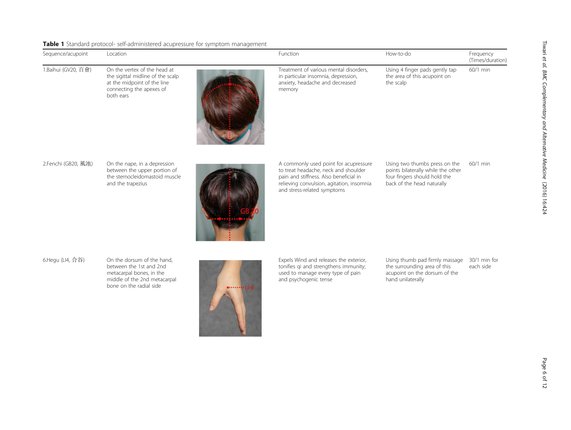<span id="page-5-0"></span>

|  |  |  | Table 1 Standard protocol- self-administered acupressure for symptom management |  |  |  |  |
|--|--|--|---------------------------------------------------------------------------------|--|--|--|--|
|--|--|--|---------------------------------------------------------------------------------|--|--|--|--|

| Sequence/acupoint   | Location                                                                                                                                     |     | Function                                                                                                                                                                                            | How-to-do                                                                                                                         | Frequency<br>(Times/duration) |
|---------------------|----------------------------------------------------------------------------------------------------------------------------------------------|-----|-----------------------------------------------------------------------------------------------------------------------------------------------------------------------------------------------------|-----------------------------------------------------------------------------------------------------------------------------------|-------------------------------|
| 1.Baihui (GV20, 百會) | On the vertex of the head at<br>the sigittal midline of the scalp<br>at the midpoint of the line<br>connecting the apexes of<br>both ears    |     | Treatment of various mental disorders.<br>in particular insomnia, depression,<br>anxiety, headache and decreased<br>memory                                                                          | Using 4 finger pads gently tap<br>the area of this acupoint on<br>the scalp                                                       | 60/1 min                      |
| 2.Fenchi (GB20, 風池) | On the nape, in a depression<br>between the upper portion of<br>the sternocleidomastoid muscle<br>and the trapezius                          |     | A commonly used point for acupressure<br>to treat headache, neck and shoulder<br>pain and stiffness. Also beneficial in<br>relieving convulsion, agitation, insomnia<br>and stress-related symptoms | Using two thumbs press on the<br>points bilaterally while the other<br>four fingers should hold the<br>back of the head naturally | $60/1$ min                    |
| 6.Hegu (LI4, 合谷)    | On the dorsum of the hand,<br>between the 1st and 2nd<br>metacarpal bones, in the<br>middle of the 2nd metacarpal<br>bone on the radial side | 114 | Expels Wind and releases the exterior,<br>tonifies qi and strengthens immunity;<br>used to manage every type of pain<br>and psychogenic tense                                                       | Using thumb pad firmly massage<br>the surrounding area of this<br>acupoint on the dorsum of the<br>hand unilaterally              | 30/1 min for<br>each side     |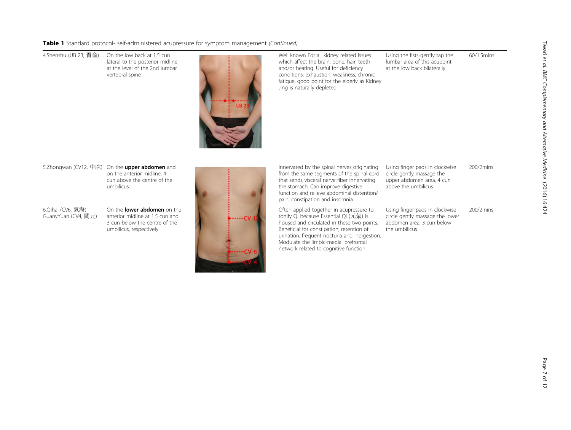Table 1 Standard protocol- self-administered acupressure for symptom management (Continued)

4.Shenshu (UB 23, 腎俞) On the low back at 1.5 cun lateral to the posterior midline at the level of the 2nd lumbar vertebral spine



Well known For all kidney related issues which affect the brain, bone, hair, teeth and/or hearing. Useful for deficiency conditions: exhaustion, weakness, chronic fatique, good point for the elderly as Kidney Jing is naturally depleted

Using the fists gently tap the lumbar area of this acupoint at the low back bilaterally

60/1.5mins

5.Zhongwan (CV12, 中脘) On the upper abdomen and on the anterior midline, 4 cun above the centre of the umbilicus.

6.Qihai (CV6, 氣海) GuanyYuan (CV4, 關元) On the lower abdomen on the anterior midline at 1.5 cun and 3 cun below the centre of the umbilicus, respectively.



Innervated by the spinal nerves originating from the same segments of the spinal cord that sends visceral nerve fiber innervating the stomach. Can improve digestive function and relieve abdominal distention/ pain, constipation and insomnia

Often applied together in acupressure to tonify Qi because Essential Qi (元氣) is housed and circulated in these two points. Beneficial for constipation, retention of urination, frequent nocturia and indigestion. Modulate the limbic-medial prefrontal network related to cognitive function

Using finger pads in clockwise circle gently massage the upper abdomen area, 4 cun above the umbilicus 200/2mins

Using finger pads in clockwise circle gently massage the lower abdomen area, 3 cun below the umbilicus 200/2mins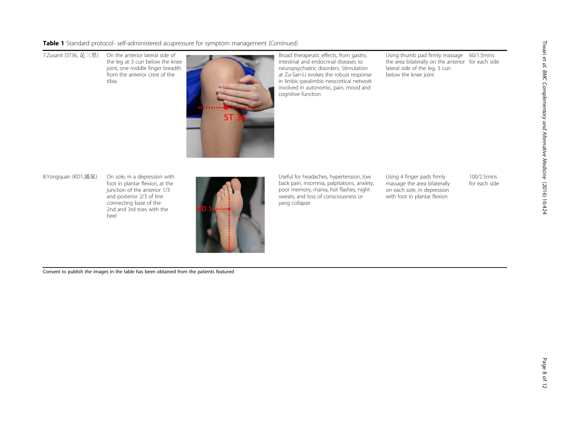Table 1 Standard protocol- self-administered acupressure for symptom management (Continued)

7.Zusanli (ST36, 足三里) On the anterior lateral side of the leg at 3 cun below the knee joint, one middle finger breadth from the anterior crest of the tibia.



Broad therapeutic effects, from gastro, intestinal and endocrinal diseases to neuropsychiatric disorders. Stimulation at Zu-San-Li evokes the robust response in limbic-paralimbic-neocortical network involved in autonomic, pain, mood and cognitive function

Using thumb pad firmly massage 60/1.5mins the area bilaterally on the anterior for each side lateral side of the leg, 3 cun below the knee joint

8.Yongquan (KD1,涌泉) On sole, in a depression with

foot in plantar flexion, at the junction of the anterior 1/3 and posterior 2/3 of line connecting base of the 2nd and 3rd toes with the heel



Useful for headaches, hypertension, low back pain, insomnia, palpitations, anxiety, poor memory, mania, hot flashes, night sweats, and loss of consciousness or yang collapse

Using 4 finger pads firmly massage the area bilaterally on each sole, in depression with foot in plantar flexion

100/2.5mins for each side

Consent to publish the images in the table has been obtained from the patients featured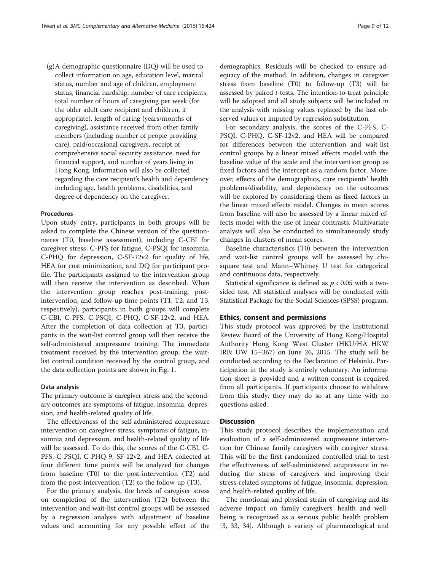(g)A demographic questionnaire (DQ) will be used to collect information on age, education level, marital status, number and age of children, employment status, financial hardship, number of care recipients, total number of hours of caregiving per week (for the older adult care recipient and children, if appropriate), length of caring (years/months of caregiving), assistance received from other family members (including number of people providing care), paid/occasional caregivers, receipt of comprehensive social security assistance, need for financial support, and number of years living in Hong Kong. Information will also be collected regarding the care recipient's health and dependency including age, health problems, disabilities, and degree of dependency on the caregiver.

#### Procedures

Upon study entry, participants in both groups will be asked to complete the Chinese version of the questionnaires (T0, baseline assessment), including C-CBI for caregiver stress, C-PFS for fatigue, C-PSQI for insomnia, C-PHQ for depression, C-SF-12v2 for quality of life, HEA for cost minimization, and DQ for participant profile. The participants assigned to the intervention group will then receive the intervention as described. When the intervention group reaches post-training, postintervention, and follow-up time points (T1, T2, and T3, respectively), participants in both groups will complete C-CBI, C-PFS, C-PSQI, C-PHQ, C-SF-12v2, and HEA. After the completion of data collection at T3, participants in the wait-list control group will then receive the self-administered acupressure training. The immediate treatment received by the intervention group, the waitlist control condition received by the control group, and the data collection points are shown in Fig. [1.](#page-9-0)

#### Data analysis

The primary outcome is caregiver stress and the secondary outcomes are symptoms of fatigue, insomnia, depression, and health-related quality of life.

The effectiveness of the self-administered acupressure intervention on caregiver stress, symptoms of fatigue, insomnia and depression, and health-related quality of life will be assessed. To do this, the scores of the C-CBI, C-PFS, C-PSQI, C-PHQ-9, SF-12v2, and HEA collected at four different time points will be analyzed for changes from baseline (T0) to the post-intervention (T2) and from the post-intervention (T2) to the follow-up (T3).

For the primary analysis, the levels of caregiver stress on completion of the intervention (T2) between the intervention and wait-list control groups will be assessed by a regression analysis with adjustment of baseline values and accounting for any possible effect of the demographics. Residuals will be checked to ensure adequacy of the method. In addition, changes in caregiver stress from baseline (T0) to follow-up (T3) will be assessed by paired t-tests. The intention-to-treat principle will be adopted and all study subjects will be included in the analysis with missing values replaced by the last observed values or imputed by regression substitution.

For secondary analysis, the scores of the C-PFS, C-PSQI, C-PHQ, C-SF-12v2, and HEA will be compared for differences between the intervention and wait-list control groups by a linear mixed effects model with the baseline value of the scale and the intervention group as fixed factors and the intercept as a random factor. Moreover, effects of the demographics, care recipients' health problems/disability, and dependency on the outcomes will be explored by considering them as fixed factors in the linear mixed effects model. Changes in mean scores from baseline will also be assessed by a linear mixed effects model with the use of linear contrasts. Multivariate analysis will also be conducted to simultaneously study changes in clusters of mean scores.

Baseline characteristics (T0) between the intervention and wait-list control groups will be assessed by chisquare test and Mann–Whitney U test for categorical and continuous data, respectively.

Statistical significance is defined as  $p < 0.05$  with a twosided test. All statistical analyses will be conducted with Statistical Package for the Social Sciences (SPSS) program.

#### Ethics, consent and permissions

This study protocol was approved by the Institutional Review Board of the University of Hong Kong/Hospital Authority Hong Kong West Cluster (HKU/HA HKW IRB: UW 15–367) on June 26, 2015. The study will be conducted according to the Declaration of Helsinki. Participation in the study is entirely voluntary. An information sheet is provided and a written consent is required from all participants. If participants choose to withdraw from this study, they may do so at any time with no questions asked.

#### **Discussion**

This study protocol describes the implementation and evaluation of a self-administered acupressure intervention for Chinese family caregivers with caregiver stress. This will be the first randomized controlled trial to test the effectiveness of self-administered acupressure in reducing the stress of caregivers and improving their stress-related symptoms of fatigue, insomnia, depression, and health-related quality of life.

The emotional and physical strain of caregiving and its adverse impact on family caregivers' health and wellbeing is recognized as a serious public health problem [[3,](#page-10-0) [33](#page-11-0), [34\]](#page-11-0). Although a variety of pharmacological and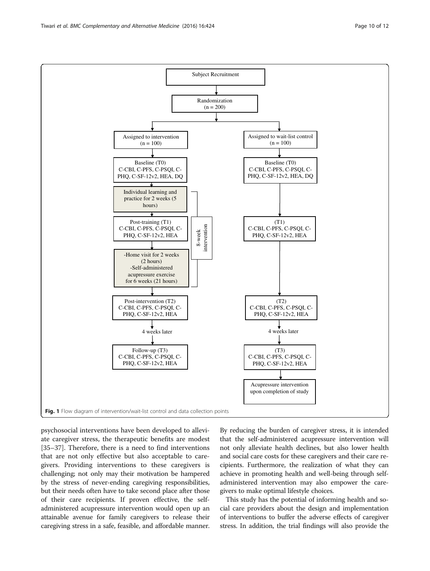psychosocial interventions have been developed to alleviate caregiver stress, the therapeutic benefits are modest [[35](#page-11-0)–[37](#page-11-0)]. Therefore, there is a need to find interventions that are not only effective but also acceptable to caregivers. Providing interventions to these caregivers is challenging; not only may their motivation be hampered by the stress of never-ending caregiving responsibilities, but their needs often have to take second place after those of their care recipients. If proven effective, the selfadministered acupressure intervention would open up an attainable avenue for family caregivers to release their caregiving stress in a safe, feasible, and affordable manner.

By reducing the burden of caregiver stress, it is intended that the self-administered acupressure intervention will not only alleviate health declines, but also lower health and social care costs for these caregivers and their care recipients. Furthermore, the realization of what they can achieve in promoting health and well-being through selfadministered intervention may also empower the caregivers to make optimal lifestyle choices.

This study has the potential of informing health and social care providers about the design and implementation of interventions to buffer the adverse effects of caregiver stress. In addition, the trial findings will also provide the

<span id="page-9-0"></span>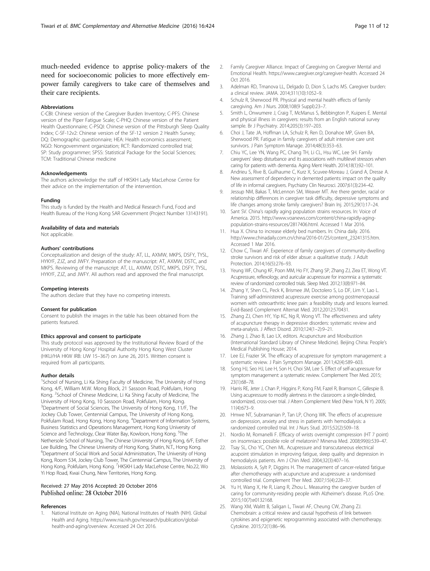<span id="page-10-0"></span>much-needed evidence to apprise policy-makers of the need for socioeconomic policies to more effectively empower family caregivers to take care of themselves and their care recipients.

#### Abbreviations

C-CBI: Chinese version of the Caregiver Burden Inventory; C-PFS: Chinese version of the Piper Fatigue Scale; C-PHQ: Chinese version of the Patient Health Questionnaire; C-PSQI: Chinese version of the Pittsburgh Sleep Quality Index; C-SF-12v2: Chinese version of the SF-12 version 2 Health Survey; DQ: Demographic questionnaire; HEA: Health economics assessment; NGO: Nongovernment organization; RCT: Randomized controlled trial; SP: Study programmer: SPSS: Statistical Package for the Social Sciences: TCM: Traditional Chinese medicine

#### Acknowledgements

The authors acknowledge the staff of HKSKH Lady MacLehose Centre for their advice on the implementation of the intervention.

#### Funding

This study is funded by the Health and Medical Research Fund, Food and Health Bureau of the Hong Kong SAR Government (Project Number 13143191).

#### Availability of data and materials

Not applicable.

#### Authors' contributions

Conceptualization and design of the study: AT, LL, AXMW, MKPS, DSFY, TYSL, HYKYF, ZJZ, and JWFY. Preparation of the manuscript: AT, AXMW, DSTC, and MKPS. Reviewing of the manuscript: AT, LL, AXMW, DSTC, MKPS, DSFY, TYSL, HYKYF, ZJZ, and JWFY. All authors read and approved the final manuscript.

#### Competing interests

The authors declare that they have no competing interests.

#### Consent for publication

Consent to publish the images in the table has been obtained from the patients featured.

#### Ethics approval and consent to participate

This study protocol was approved by the Institutional Review Board of the University of Hong Kong/ Hospital Authority Hong Kong West Cluster (HKU/HA HKW IRB: UW 15–367) on June 26, 2015. Written consent is required from all participants.

#### Author details

<sup>1</sup>School of Nursing, Li Ka Shing Faculty of Medicine, The University of Hong Kong, 4/F, William M.W. Mong Block, 21 Sassoon Road, Pokfulam, Hong Kong. <sup>2</sup>School of Chinese Medicine, Li Ka Shing Faculty of Medicine, The University of Hong Kong, 10 Sassoon Road, Pokfulam, Hong Kong. <sup>3</sup>Department of Social Sciences, The University of Hong Kong, 11/F, The Jockey Club Tower, Centennial Campus, The University of Hong Kong, Pokfulam Road, Hong Kong, Hong Kong. <sup>4</sup>Department of Information Systems, Business Statistics and Operations Management, Hong Kong University of Science and Technology, Clear Water Bay, Kowloon, Hong Kong. <sup>5</sup>The Nethersole School of Nursing, The Chinese University of Hong Kong, 6/F, Esther Lee Building, The Chinese University of Hong Kong, Shatin, N.T., Hong Kong. 6 Department of Social Work and Social Administration, The University of Hong Kong, Room 534, Jockey Club Tower, The Centennial Campus, The University of Hong Kong, Pokfulam, Hong Kong. <sup>7</sup>HKSKH Lady MacLehose Centre, No.22, Wo Yi Hop Road, Kwai Chung, New Territories, Hong Kong.

#### Received: 27 May 2016 Accepted: 20 October 2016 Published online: 28 October 2016

#### References

National Institute on Aging (NIA), National Institutes of Health (NIH). Global Health and Aging. [https://www.nia.nih.gov/research/publication/global](https://www.nia.nih.gov/research/publication/global-health-and-aging/overview)[health-and-aging/overview.](https://www.nia.nih.gov/research/publication/global-health-and-aging/overview) Accessed 24 Oct 2016.

- 2. Family Caregiver Alliance. Impact of Caregiving on Caregiver Mental and Emotional Health.<https://www.caregiver.org/caregiver-health>. Accessed 24 Oct 2016.
- 3. Adelman RD, Tmanova LL, Delgado D, Dion S, Lachs MS. Caregiver burden: a clinical review. JAMA. 2014;311(10):1052–9.
- 4. Schulz R, Sherwood PR. Physical and mental health effects of family caregiving. Am J Nurs. 2008;108(9 Suppl):23–7.
- 5. Smith L, Onwumere J, Craig T, McManus S, Bebbington P, Kuipers E. Mental and physical illness in caregivers: results from an English national survey sample. Br J Psychiatry. 2014;205(3):197–203.
- 6. Choi J, Tate JA, Hoffman LA, Schulz R, Ren D, Donahoe MP, Given BA, Sherwood PR. Fatigue in family caregivers of adult intensive care unit survivors. J Pain Symptom Manage. 2014;48(3):353–63.
- 7. Chiu YC, Lee YN, Wang PC, Chang TH, Li CL, Hsu WC, Lee SH. Family caregivers' sleep disturbance and its associations with multilevel stressors when caring for patients with dementia. Aging Ment Health. 2014;18(1):92–101.
- 8. Andrieu S, Rive B, Guilhaume C, Kurz X, Scuvee-Moreau J, Grand A, Dresse A. New assessment of dependency in demented patients: impact on the quality of life in informal caregivers. Psychiatry Clin Neurosci. 2007;61(3):234–42.
- 9. Jessup NM, Bakas T, McLennon SM, Weaver MT. Are there gender, racial or relationship differences in caregiver task difficulty, depressive symptoms and life changes among stroke family caregivers? Brain Inj. 2015;29(1):17–24.
- 10. Sant SV. China's rapidly aging population strains resources. In: Voice of America. 2015. [http://www.voanews.com/content/china-rapidly-aging](http://www.voanews.com/content/china-rapidly-aging-population-strains-resources/2817406.html)[population-strains-resources/2817406.html](http://www.voanews.com/content/china-rapidly-aging-population-strains-resources/2817406.html). Accessed 1 Mar 2016.
- 11. Hua X. China to increase elderly bed numbers. In: China daily. 2016. [http://www.chinadaily.com.cn/china/2016-01/25/content\\_23241315.htm](http://www.chinadaily.com.cn/china/2016-01/25/content_23241315.htm). Accessed 1 Mar 2016.
- 12. Chow C, Tiwari AF. Experience of family caregivers of community-dwelling stroke survivors and risk of elder absue: a qualitative study. J Adult Protection. 2014;16(5):276–93.
- 13. Yeung WF, Chung KF, Poon MM, Ho FY, Zhang SP, Zhang ZJ, Ziea ET, Wong VT. Acupressure, reflexology, and auricular acupressure for insomnia: a systematic review of randomized controlled trials. Sleep Med. 2012;13(8):971–84.
- 14. Zhang Y, Shen CL, Peck K, Brismee JM, Doctolero S, Lo DF, Lim Y, Lao L. Training self-administered acupressure exercise among postmenopausal women with osteoarthritic knee pain: a feasibility study and lessons learned. Evid-Based Complement Alternat Med. 2012;2012:570431.
- 15. Zhang ZJ, Chen HY, Yip KC, Ng R, Wong VT. The effectiveness and safety of acupuncture therapy in depressive disorders: systematic review and meta-analysis. J Affect Disord. 2010;124(1–2):9–21.
- 16. Zhang J, Zhao B, Lao LX, editors. Acupuncture and Moxibustion (International Standard Library of Chinese Medicine). Beijing China: People's Medical Publishing House; 2014.
- 17. Lee EJ, Frazier SK. The efficacy of acupressure for symptom management: a systematic review. J Pain Symptom Manage. 2011;42(4):589–603.
- 18. Song HJ, Seo HJ, Lee H, Son H, Choi SM, Lee S. Effect of self-acupressure for symptom management: a systematic review. Complement Ther Med. 2015; 23(1):68–78.
- 19. Harris RE, Jeter J, Chan P, Higgins P, Kong FM, Fazel R, Bramson C, Gillespie B. Using acupressure to modify alertness in the classroom: a single-blinded, randomized, cross-over trial. J Altern Complement Med (New York, N Y). 2005; 11(4):673–9.
- 20. Hmwe NT, Subramanian P, Tan LP, Chong WK. The effects of acupressure on depression, anxiety and stress in patients with hemodialysis: a randomized controlled trial. Int J Nurs Stud. 2015;52(2):509–18.
- 21. Nordio M, Romanelli F. Efficacy of wrists overnight compression (HT 7 point) on insomniacs: possible role of melatonin? Minerva Med. 2008;99(6):539–47.
- 22. Tsay SL, Cho YC, Chen ML. Acupressure and transcutaneous electrical acupoint stimulation in improving fatigue, sleep quality and depression in hemodialysis patients. Am J Chin Med. 2004;32(3):407–16.
- 23. Molassiotis A, Sylt P, Diggins H. The management of cancer-related fatigue after chemotherapy with acupuncture and acupressure: a randomised controlled trial. Complement Ther Med. 2007;15(4):228–37.
- 24. Yu H, Wang X, He R, Liang R, Zhou L. Measuring the caregiver burden of caring for community-residing people with Alzheimer's disease. PLoS One. 2015;10(7):e0132168.
- 25. Wang XM, Walitt B, Saligan L, Tiwari AF, Cheung CW, Zhang ZJ. Chemobrain: a critical review and causal hypothesis of link between cytokines and epigenetic reprogramming associated with chemotherapy. Cytokine. 2015;72(1):86–96.